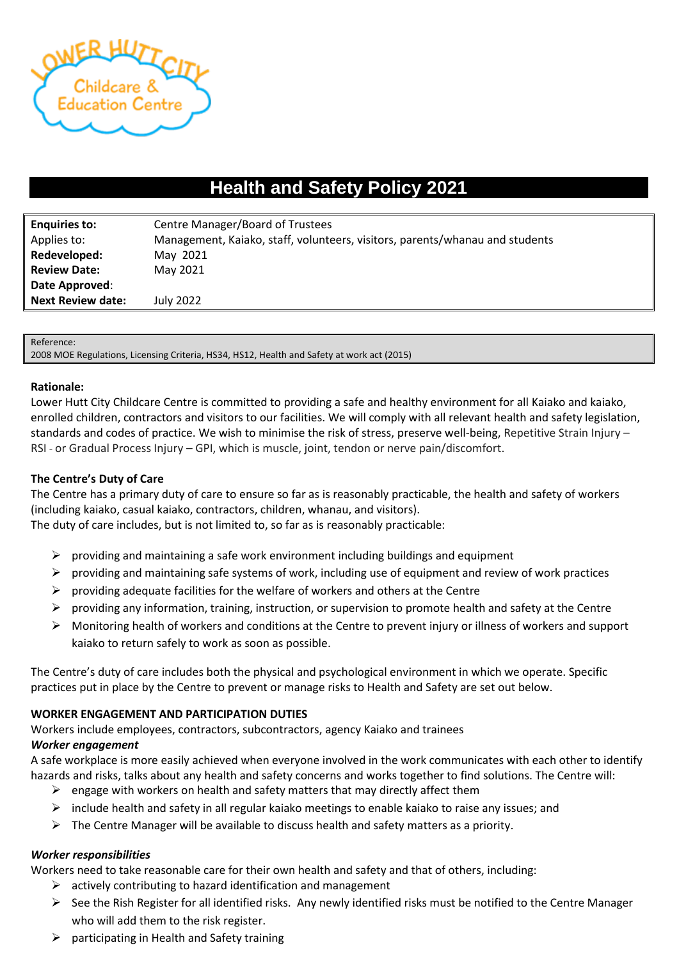

# **Health and Safety Policy 2021**

| <b>Enquiries to:</b>     | Centre Manager/Board of Trustees                                             |
|--------------------------|------------------------------------------------------------------------------|
| Applies to:              | Management, Kaiako, staff, volunteers, visitors, parents/whanau and students |
| Redeveloped:             | May 2021                                                                     |
| <b>Review Date:</b>      | May 2021                                                                     |
| Date Approved:           |                                                                              |
| <b>Next Review date:</b> | July 2022                                                                    |

#### Reference:

2008 MOE Regulations, Licensing Criteria, HS34, HS12, Health and Safety at work act (2015)

#### **Rationale:**

Lower Hutt City Childcare Centre is committed to providing a safe and healthy environment for all Kaiako and kaiako, enrolled children, contractors and visitors to our facilities. We will comply with all relevant health and safety legislation, standards and codes of practice. We wish to minimise the risk of stress, preserve well-being, Repetitive Strain Injury – RSI - or Gradual Process Injury – GPI, which is muscle, joint, tendon or nerve pain/discomfort.

## **The Centre's Duty of Care**

The Centre has a primary duty of care to ensure so far as is reasonably practicable, the health and safety of workers (including kaiako, casual kaiako, contractors, children, whanau, and visitors). The duty of care includes, but is not limited to, so far as is reasonably practicable:

- $\triangleright$  providing and maintaining a safe work environment including buildings and equipment
- $\triangleright$  providing and maintaining safe systems of work, including use of equipment and review of work practices
- $\triangleright$  providing adequate facilities for the welfare of workers and others at the Centre
- $\triangleright$  providing any information, training, instruction, or supervision to promote health and safety at the Centre
- ➢ Monitoring health of workers and conditions at the Centre to prevent injury or illness of workers and support kaiako to return safely to work as soon as possible.

The Centre's duty of care includes both the physical and psychological environment in which we operate. Specific practices put in place by the Centre to prevent or manage risks to Health and Safety are set out below.

## **WORKER ENGAGEMENT AND PARTICIPATION DUTIES**

Workers include employees, contractors, subcontractors, agency Kaiako and trainees

## *Worker engagement*

A safe workplace is more easily achieved when everyone involved in the work communicates with each other to identify hazards and risks, talks about any health and safety concerns and works together to find solutions. The Centre will:

- $\triangleright$  engage with workers on health and safety matters that may directly affect them
- $\triangleright$  include health and safety in all regular kaiako meetings to enable kaiako to raise any issues; and
- $\triangleright$  The Centre Manager will be available to discuss health and safety matters as a priority.

## *Worker responsibilities*

Workers need to take reasonable care for their own health and safety and that of others, including:

- $\triangleright$  actively contributing to hazard identification and management
- ➢ See the Rish Register for all identified risks. Any newly identified risks must be notified to the Centre Manager who will add them to the risk register.
- $\triangleright$  participating in Health and Safety training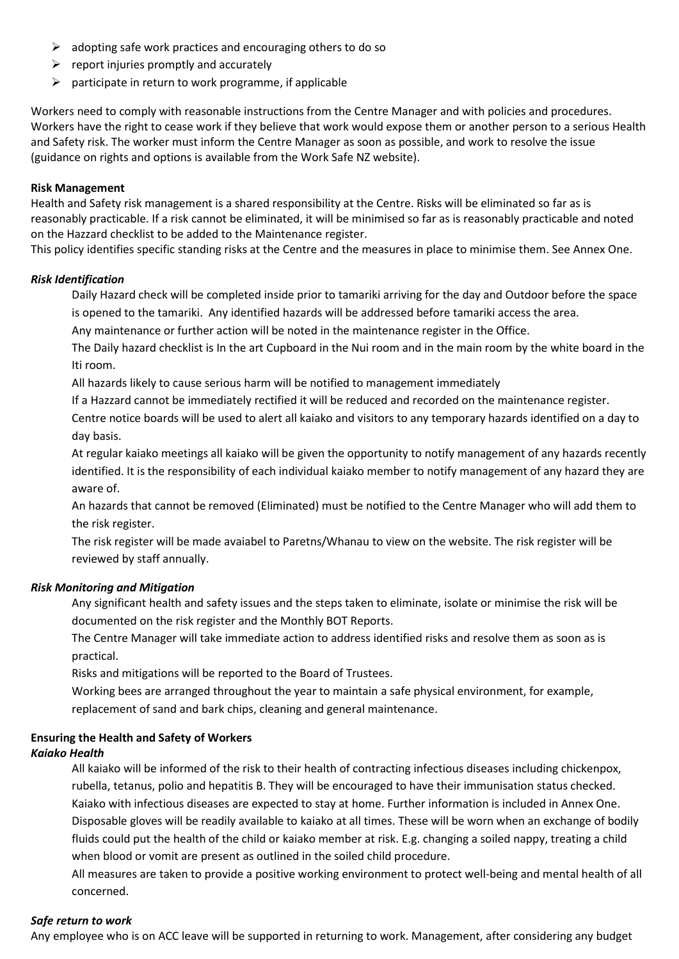- $\triangleright$  adopting safe work practices and encouraging others to do so
- $\triangleright$  report injuries promptly and accurately
- $\triangleright$  participate in return to work programme, if applicable

Workers need to comply with reasonable instructions from the Centre Manager and with policies and procedures. Workers have the right to cease work if they believe that work would expose them or another person to a serious Health and Safety risk. The worker must inform the Centre Manager as soon as possible, and work to resolve the issue (guidance on rights and options is available from the Work Safe NZ website).

### **Risk Management**

Health and Safety risk management is a shared responsibility at the Centre. Risks will be eliminated so far as is reasonably practicable. If a risk cannot be eliminated, it will be minimised so far as is reasonably practicable and noted on the Hazzard checklist to be added to the Maintenance register.

This policy identifies specific standing risks at the Centre and the measures in place to minimise them. See Annex One.

#### *Risk Identification*

Daily Hazard check will be completed inside prior to tamariki arriving for the day and Outdoor before the space is opened to the tamariki. Any identified hazards will be addressed before tamariki access the area.

Any maintenance or further action will be noted in the maintenance register in the Office.

The Daily hazard checklist is In the art Cupboard in the Nui room and in the main room by the white board in the Iti room.

All hazards likely to cause serious harm will be notified to management immediately

If a Hazzard cannot be immediately rectified it will be reduced and recorded on the maintenance register.

Centre notice boards will be used to alert all kaiako and visitors to any temporary hazards identified on a day to day basis.

At regular kaiako meetings all kaiako will be given the opportunity to notify management of any hazards recently identified. It is the responsibility of each individual kaiako member to notify management of any hazard they are aware of.

An hazards that cannot be removed (Eliminated) must be notified to the Centre Manager who will add them to the risk register.

The risk register will be made avaiabel to Paretns/Whanau to view on the website. The risk register will be reviewed by staff annually.

#### *Risk Monitoring and Mitigation*

Any significant health and safety issues and the steps taken to eliminate, isolate or minimise the risk will be documented on the risk register and the Monthly BOT Reports.

The Centre Manager will take immediate action to address identified risks and resolve them as soon as is practical.

Risks and mitigations will be reported to the Board of Trustees.

Working bees are arranged throughout the year to maintain a safe physical environment, for example, replacement of sand and bark chips, cleaning and general maintenance.

## **Ensuring the Health and Safety of Workers**

## *Kaiako Health*

All kaiako will be informed of the risk to their health of contracting infectious diseases including chickenpox, rubella, tetanus, polio and hepatitis B. They will be encouraged to have their immunisation status checked. Kaiako with infectious diseases are expected to stay at home. Further information is included in Annex One. Disposable gloves will be readily available to kaiako at all times. These will be worn when an exchange of bodily fluids could put the health of the child or kaiako member at risk. E.g. changing a soiled nappy, treating a child when blood or vomit are present as outlined in the soiled child procedure.

All measures are taken to provide a positive working environment to protect well-being and mental health of all concerned.

#### *Safe return to work*

Any employee who is on ACC leave will be supported in returning to work. Management, after considering any budget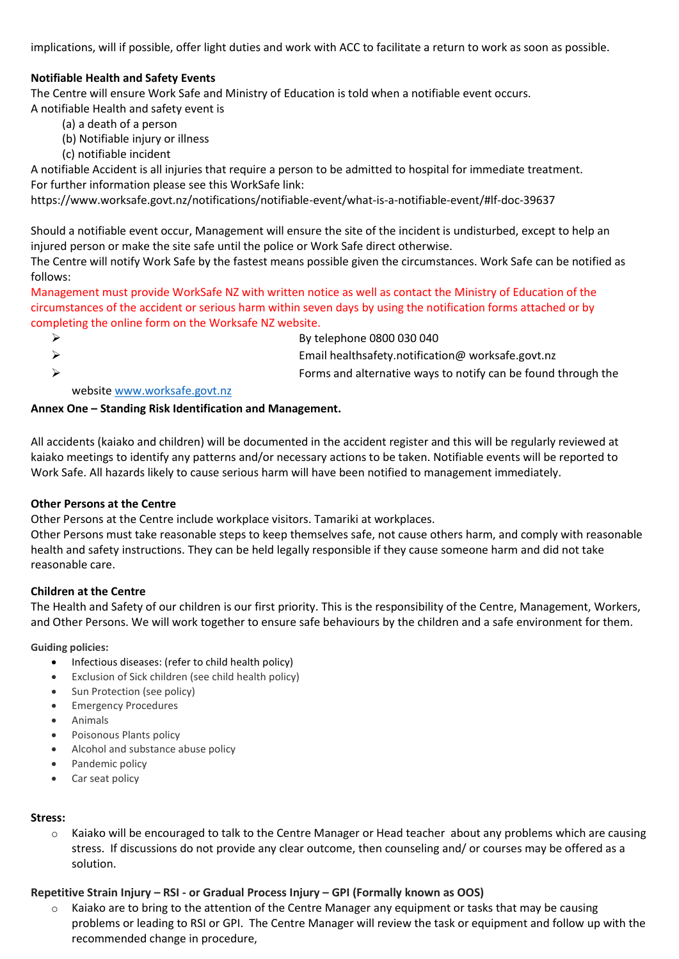implications, will if possible, offer light duties and work with ACC to facilitate a return to work as soon as possible.

# **Notifiable Health and Safety Events**

The Centre will ensure Work Safe and Ministry of Education is told when a notifiable event occurs.

A notifiable Health and safety event is

- (a) a death of a person
- (b) Notifiable injury or illness
- (c) notifiable incident

A notifiable Accident is all injuries that require a person to be admitted to hospital for immediate treatment. For further information please see this WorkSafe link:

https://www.worksafe.govt.nz/notifications/notifiable-event/what-is-a-notifiable-event/#lf-doc-39637

Should a notifiable event occur, Management will ensure the site of the incident is undisturbed, except to help an injured person or make the site safe until the police or Work Safe direct otherwise.

The Centre will notify Work Safe by the fastest means possible given the circumstances. Work Safe can be notified as follows:

Management must provide WorkSafe NZ with written notice as well as contact the Ministry of Education of the circumstances of the accident or serious harm within seven days by using the notification forms attached or by completing the online form on the Worksafe NZ website.

 $\triangleright$  By telephone 0800 030 040 ➢ Email healthsafety.notification@ worksafe.govt.nz ➢ Forms and alternative ways to notify can be found through the

websit[e www.worksafe.govt.nz](http://www.worksafe.govt.nz/)

## **Annex One – Standing Risk Identification and Management.**

All accidents (kaiako and children) will be documented in the accident register and this will be regularly reviewed at kaiako meetings to identify any patterns and/or necessary actions to be taken. Notifiable events will be reported to Work Safe. All hazards likely to cause serious harm will have been notified to management immediately.

## **Other Persons at the Centre**

Other Persons at the Centre include workplace visitors. Tamariki at workplaces.

Other Persons must take reasonable steps to keep themselves safe, not cause others harm, and comply with reasonable health and safety instructions. They can be held legally responsible if they cause someone harm and did not take reasonable care.

## **Children at the Centre**

The Health and Safety of our children is our first priority. This is the responsibility of the Centre, Management, Workers, and Other Persons. We will work together to ensure safe behaviours by the children and a safe environment for them.

**Guiding policies:** 

- Infectious diseases: (refer to child health policy)
- Exclusion of Sick children (see child health policy)
- Sun Protection (see policy)
- Emergency Procedures
- Animals
- Poisonous Plants policy
- Alcohol and substance abuse policy
- Pandemic policy
- Car seat policy

## **Stress:**

 $\circ$  Kaiako will be encouraged to talk to the Centre Manager or Head teacher about any problems which are causing stress. If discussions do not provide any clear outcome, then counseling and/ or courses may be offered as a solution.

# **Repetitive Strain Injury – RSI - or Gradual Process Injury – GPI (Formally known as OOS)**

 $\circ$  Kaiako are to bring to the attention of the Centre Manager any equipment or tasks that may be causing problems or leading to RSI or GPI. The Centre Manager will review the task or equipment and follow up with the recommended change in procedure,